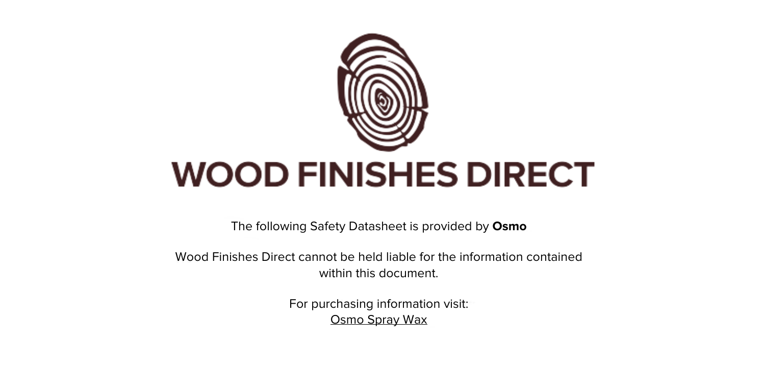

The following Safety Datasheet is provided by **Osmo**

Wood Finishes Direct cannot be held liable for the information contained within this document.

> For purchasing information visit: [Osmo Spray Wax](https://www.wood-finishes-direct.com/product/osmo-spray-wax)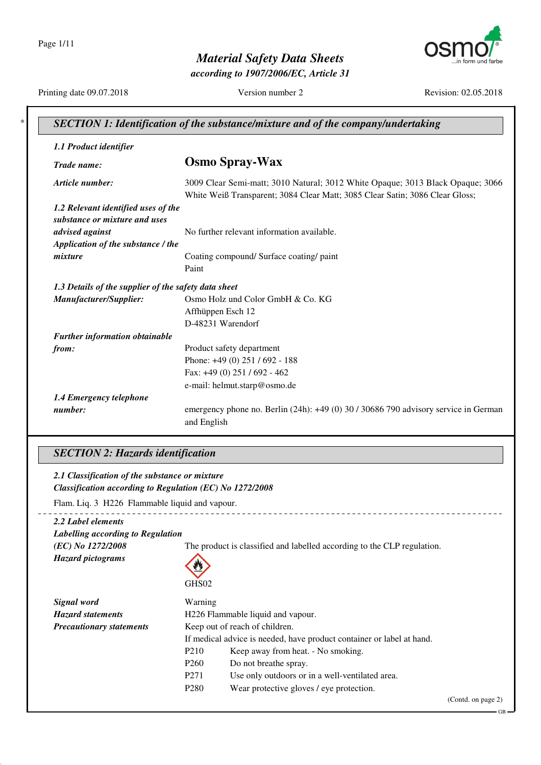Page 1/11



*Material Safety Data Sheets*

*according to 1907/2006/EC, Article 31*

Printing date 09.07.2018 Version number 2 Revision: 02.05.2018

| 1.1 Product identifier                               |                                                                                     |
|------------------------------------------------------|-------------------------------------------------------------------------------------|
| Trade name:                                          | <b>Osmo Spray-Wax</b>                                                               |
| Article number:                                      | 3009 Clear Semi-matt; 3010 Natural; 3012 White Opaque; 3013 Black Opaque; 3066      |
|                                                      | White Weiß Transparent; 3084 Clear Matt; 3085 Clear Satin; 3086 Clear Gloss;        |
| 1.2 Relevant identified uses of the                  |                                                                                     |
| substance or mixture and uses                        | No further relevant information available.                                          |
| advised against                                      |                                                                                     |
| Application of the substance / the                   |                                                                                     |
| mixture                                              | Coating compound/ Surface coating/ paint                                            |
|                                                      | Paint                                                                               |
| 1.3 Details of the supplier of the safety data sheet |                                                                                     |
| Manufacturer/Supplier:                               | Osmo Holz und Color GmbH & Co. KG                                                   |
|                                                      | Affhüppen Esch 12                                                                   |
|                                                      | D-48231 Warendorf                                                                   |
| Further information obtainable                       |                                                                                     |
| from:                                                | Product safety department                                                           |
|                                                      | Phone: +49 (0) 251 / 692 - 188                                                      |
|                                                      | Fax: +49 (0) 251 / 692 - 462                                                        |
|                                                      | e-mail: helmut.starp@osmo.de                                                        |
| 1.4 Emergency telephone                              |                                                                                     |
| number:                                              | emergency phone no. Berlin (24h): +49 (0) 30 / 30686 790 advisory service in German |
|                                                      | and English                                                                         |

#### *SECTION 2: Hazards identification*

*2.1 Classification of the substance or mixture Classification according to Regulation (EC) No 1272/2008*

Flam. Liq. 3 H226 Flammable liquid and vapour.

| 2.2 Label elements                |                                   |                                                                         |                    |  |  |
|-----------------------------------|-----------------------------------|-------------------------------------------------------------------------|--------------------|--|--|
| Labelling according to Regulation |                                   |                                                                         |                    |  |  |
| (EC) No 1272/2008                 |                                   | The product is classified and labelled according to the CLP regulation. |                    |  |  |
| <b>Hazard pictograms</b>          | Ø                                 |                                                                         |                    |  |  |
|                                   | GHS02                             |                                                                         |                    |  |  |
| Signal word                       | Warning                           |                                                                         |                    |  |  |
| <b>Hazard statements</b>          | H226 Flammable liquid and vapour. |                                                                         |                    |  |  |
| <b>Precautionary statements</b>   |                                   | Keep out of reach of children.                                          |                    |  |  |
|                                   |                                   | If medical advice is needed, have product container or label at hand.   |                    |  |  |
|                                   | P <sub>210</sub>                  | Keep away from heat. - No smoking.                                      |                    |  |  |
|                                   | P <sub>260</sub>                  | Do not breathe spray.                                                   |                    |  |  |
|                                   | P <sub>271</sub>                  | Use only outdoors or in a well-ventilated area.                         |                    |  |  |
|                                   | P <sub>280</sub>                  | Wear protective gloves / eye protection.                                |                    |  |  |
|                                   |                                   |                                                                         | (Contd. on page 2) |  |  |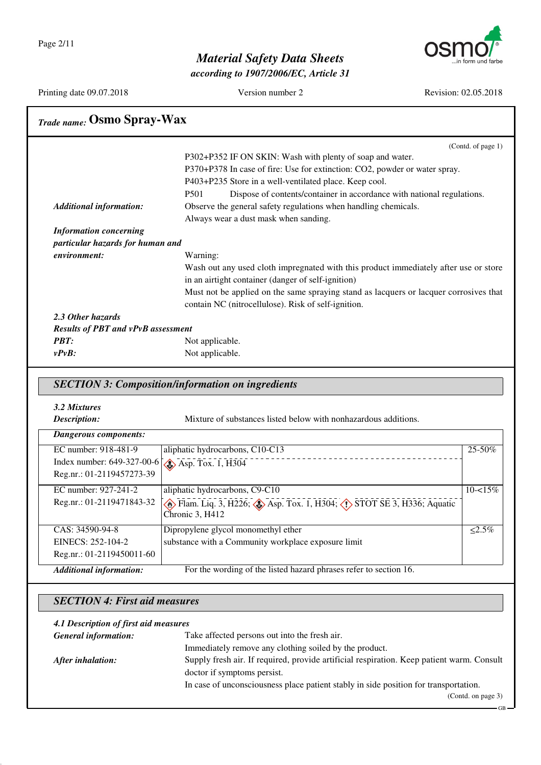Page 2/11



GB

### *Material Safety Data Sheets*

*according to 1907/2006/EC, Article 31*

Printing date 09.07.2018 Version number 2 Revision: 02.05.2018

| EINECS: 252-104-2<br>Reg.nr.: 01-2119450011-60                    | substance with a Community workplace exposure limit                                                                                      |                                                                                       |  |  |  |
|-------------------------------------------------------------------|------------------------------------------------------------------------------------------------------------------------------------------|---------------------------------------------------------------------------------------|--|--|--|
| CAS: 34590-94-8                                                   | Dipropylene glycol monomethyl ether                                                                                                      | $\leq 2.5\%$                                                                          |  |  |  |
| Reg.nr.: 01-2119471843-32                                         | $\leftrightarrow$ Flam. Liq. 3, H226; $\leftrightarrow$ Asp. Tox. 1, H304; $\leftrightarrow$ STOT SE 3, H336; Aquatic<br>Chronic 3, H412 |                                                                                       |  |  |  |
| Reg.nr.: 01-2119457273-39<br>EC number: 927-241-2                 | aliphatic hydrocarbons, C9-C10                                                                                                           | $10 - 15%$                                                                            |  |  |  |
| EC number: 918-481-9<br>Index number: 649-327-00-6                | aliphatic hydrocarbons, C10-C13<br>$\diamond$ Asp. Tox. 1, H304                                                                          | 25-50%                                                                                |  |  |  |
| <b>Dangerous components:</b>                                      |                                                                                                                                          |                                                                                       |  |  |  |
| 3.2 Mixtures<br>Description:                                      | Mixture of substances listed below with nonhazardous additions.                                                                          |                                                                                       |  |  |  |
|                                                                   | <b>SECTION 3: Composition/information on ingredients</b>                                                                                 |                                                                                       |  |  |  |
| $v P v B$ :                                                       | Not applicable.                                                                                                                          |                                                                                       |  |  |  |
| <b>PBT:</b>                                                       | Not applicable.                                                                                                                          |                                                                                       |  |  |  |
| <b>Results of PBT and vPvB assessment</b>                         |                                                                                                                                          |                                                                                       |  |  |  |
| 2.3 Other hazards                                                 |                                                                                                                                          |                                                                                       |  |  |  |
|                                                                   | contain NC (nitrocellulose). Risk of self-ignition.                                                                                      | Must not be applied on the same spraying stand as lacquers or lacquer corrosives that |  |  |  |
|                                                                   | in an airtight container (danger of self-ignition)                                                                                       |                                                                                       |  |  |  |
|                                                                   | Wash out any used cloth impregnated with this product immediately after use or store                                                     |                                                                                       |  |  |  |
| environment:                                                      | Warning:                                                                                                                                 |                                                                                       |  |  |  |
| <b>Information concerning</b><br>particular hazards for human and |                                                                                                                                          |                                                                                       |  |  |  |
|                                                                   | Always wear a dust mask when sanding.                                                                                                    |                                                                                       |  |  |  |
| <b>Additional information:</b>                                    | Observe the general safety regulations when handling chemicals.                                                                          |                                                                                       |  |  |  |
|                                                                   | Dispose of contents/container in accordance with national regulations.<br>P501                                                           |                                                                                       |  |  |  |
|                                                                   | P403+P235 Store in a well-ventilated place. Keep cool.                                                                                   |                                                                                       |  |  |  |
|                                                                   | P302+P352 IF ON SKIN: Wash with plenty of soap and water.<br>P370+P378 In case of fire: Use for extinction: CO2, powder or water spray.  |                                                                                       |  |  |  |
|                                                                   |                                                                                                                                          | (Contd. of page 1)                                                                    |  |  |  |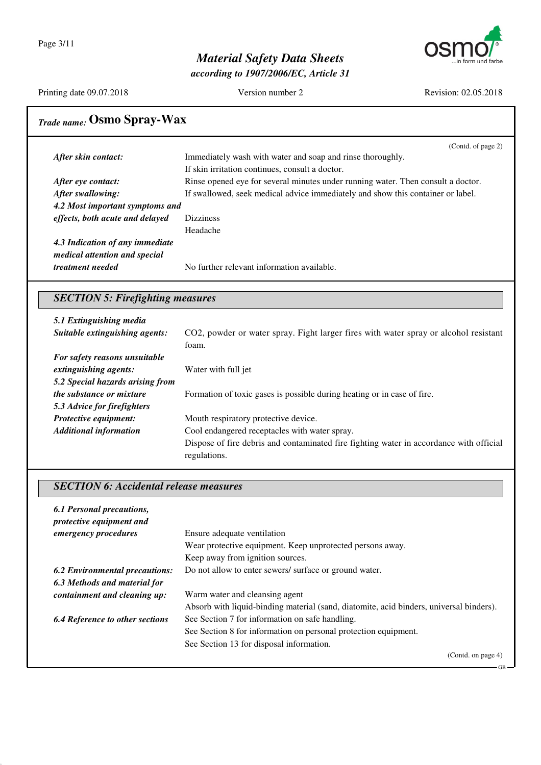

*according to 1907/2006/EC, Article 31*

Printing date 09.07.2018 Version number 2 Revision: 02.05.2018

GB

# *Trade name:* **Osmo Spray-Wax**

|                                 | (Contd. of page 2)                                                               |
|---------------------------------|----------------------------------------------------------------------------------|
| After skin contact:             | Immediately wash with water and soap and rinse thoroughly.                       |
|                                 | If skin irritation continues, consult a doctor.                                  |
| After eye contact:              | Rinse opened eye for several minutes under running water. Then consult a doctor. |
| After swallowing:               | If swallowed, seek medical advice immediately and show this container or label.  |
| 4.2 Most important symptoms and |                                                                                  |
| effects, both acute and delayed | <b>Dizziness</b>                                                                 |
|                                 | Headache                                                                         |
| 4.3 Indication of any immediate |                                                                                  |
| medical attention and special   |                                                                                  |
| <i>treatment needed</i>         | No further relevant information available.                                       |
|                                 |                                                                                  |

#### *SECTION 5: Firefighting measures*

| 5.1 Extinguishing media          |                                                                                         |
|----------------------------------|-----------------------------------------------------------------------------------------|
| Suitable extinguishing agents:   | CO2, powder or water spray. Fight larger fires with water spray or alcohol resistant    |
|                                  | foam.                                                                                   |
| For safety reasons unsuitable    |                                                                                         |
| extinguishing agents:            | Water with full jet                                                                     |
| 5.2 Special hazards arising from |                                                                                         |
| <i>the substance or mixture</i>  | Formation of toxic gases is possible during heating or in case of fire.                 |
| 5.3 Advice for firefighters      |                                                                                         |
| <b>Protective equipment:</b>     | Mouth respiratory protective device.                                                    |
| <b>Additional information</b>    | Cool endangered receptacles with water spray.                                           |
|                                  | Dispose of fire debris and contaminated fire fighting water in accordance with official |
|                                  | regulations.                                                                            |

#### *SECTION 6: Accidental release measures*

| 6.1 Personal precautions,<br>protective equipment and |                                                                                         |
|-------------------------------------------------------|-----------------------------------------------------------------------------------------|
| <i>emergency procedures</i>                           | Ensure adequate ventilation                                                             |
|                                                       | Wear protective equipment. Keep unprotected persons away.                               |
|                                                       | Keep away from ignition sources.                                                        |
| <b>6.2 Environmental precautions:</b>                 | Do not allow to enter sewers/ surface or ground water.                                  |
| 6.3 Methods and material for                          |                                                                                         |
| containment and cleaning up:                          | Warm water and cleansing agent                                                          |
|                                                       | Absorb with liquid-binding material (sand, diatomite, acid binders, universal binders). |
| <b>6.4 Reference to other sections</b>                | See Section 7 for information on safe handling.                                         |
|                                                       | See Section 8 for information on personal protection equipment.                         |
|                                                       | See Section 13 for disposal information.                                                |
|                                                       | (Contd. on page 4)                                                                      |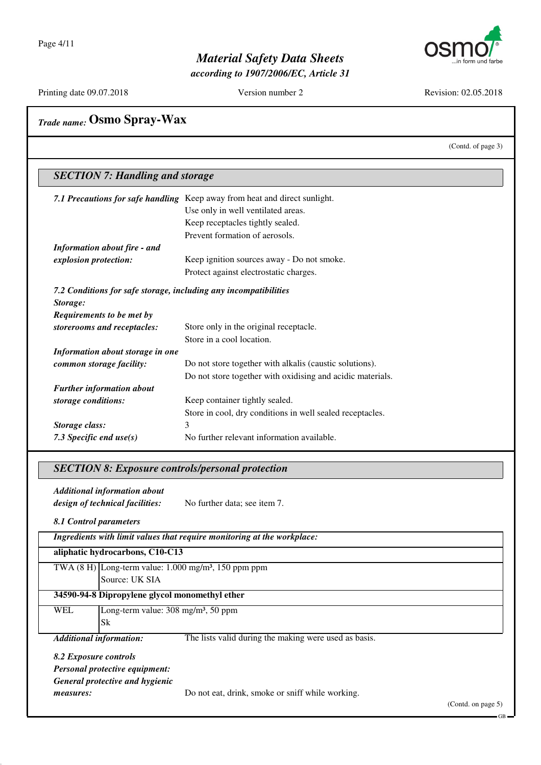

*according to 1907/2006/EC, Article 31*

Printing date 09.07.2018 Version number 2 Revision: 02.05.2018

(Contd. of page 3)

# *Trade name:* **Osmo Spray-Wax**

#### *SECTION 7: Handling and storage 7.1 Precautions for safe handling* Keep away from heat and direct sunlight. Use only in well ventilated areas. Keep receptacles tightly sealed. Prevent formation of aerosols. *Information about fire - and explosion protection:* Keep ignition sources away - Do not smoke. Protect against electrostatic charges. *7.2 Conditions for safe storage, including any incompatibilities Storage: Requirements to be met by storerooms and receptacles:* Store only in the original receptacle. Store in a cool location. *Information about storage in one common storage facility:* Do not store together with alkalis (caustic solutions). Do not store together with oxidising and acidic materials. *Further information about storage conditions:* Keep container tightly sealed. Store in cool, dry conditions in well sealed receptacles.

*Storage class:* 3 7.3 Specific end use(s) No further relevant information available.

#### *SECTION 8: Exposure controls/personal protection*

*Additional information about design of technical facilities:* No further data; see item 7.

*8.1 Control parameters*

|                       |                                                          | Ingredients with limit values that require monitoring at the workplace: |  |
|-----------------------|----------------------------------------------------------|-------------------------------------------------------------------------|--|
|                       | aliphatic hydrocarbons, C10-C13                          |                                                                         |  |
|                       |                                                          | TWA $(8 H)$ Long-term value: 1.000 mg/m <sup>3</sup> , 150 ppm ppm      |  |
|                       | Source: UK SIA                                           |                                                                         |  |
|                       | 34590-94-8 Dipropylene glycol monomethyl ether           |                                                                         |  |
| <b>WEL</b>            | Long-term value: $308 \text{ mg/m}^3$ , $50 \text{ ppm}$ |                                                                         |  |
|                       | Sk                                                       |                                                                         |  |
|                       | <b>Additional information:</b>                           | The lists valid during the making were used as basis.                   |  |
| 8.2 Exposure controls |                                                          |                                                                         |  |
|                       | <b>Personal protective equipment:</b>                    |                                                                         |  |
|                       | General protective and hygienic                          |                                                                         |  |
| measures:             |                                                          | Do not eat, drink, smoke or sniff while working.                        |  |
|                       |                                                          |                                                                         |  |

(Contd. on page 5)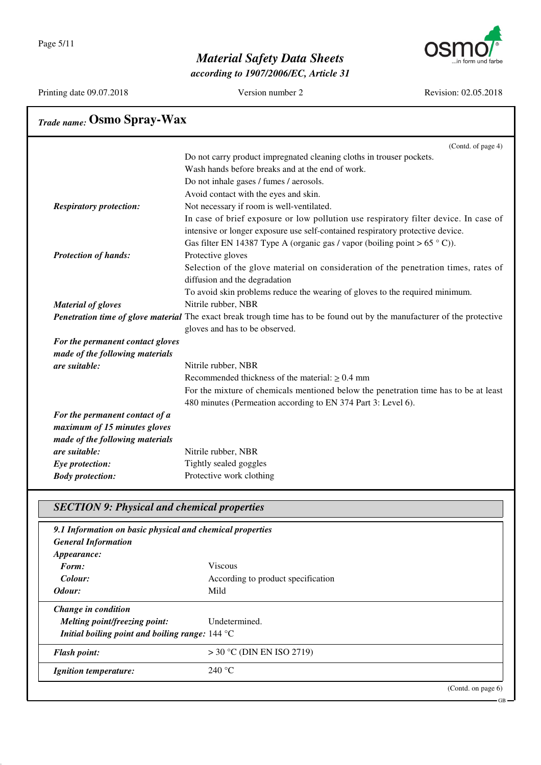Page 5/11



### *Material Safety Data Sheets*

*according to 1907/2006/EC, Article 31*

Printing date 09.07.2018 Version number 2 Revision: 02.05.2018

GB

# *Trade name:* **Osmo Spray-Wax**

|                                  | (Contd. of page 4)                                                                                                              |
|----------------------------------|---------------------------------------------------------------------------------------------------------------------------------|
|                                  | Do not carry product impregnated cleaning cloths in trouser pockets.                                                            |
|                                  | Wash hands before breaks and at the end of work.                                                                                |
|                                  | Do not inhale gases / fumes / aerosols.                                                                                         |
|                                  | Avoid contact with the eyes and skin.                                                                                           |
| <b>Respiratory protection:</b>   | Not necessary if room is well-ventilated.                                                                                       |
|                                  | In case of brief exposure or low pollution use respiratory filter device. In case of                                            |
|                                  | intensive or longer exposure use self-contained respiratory protective device.                                                  |
|                                  | Gas filter EN 14387 Type A (organic gas / vapor (boiling point > $65^{\circ}$ C)).                                              |
| <b>Protection of hands:</b>      | Protective gloves                                                                                                               |
|                                  | Selection of the glove material on consideration of the penetration times, rates of                                             |
|                                  | diffusion and the degradation                                                                                                   |
|                                  | To avoid skin problems reduce the wearing of gloves to the required minimum.                                                    |
| <b>Material of gloves</b>        | Nitrile rubber, NBR                                                                                                             |
|                                  | <b>Penetration time of glove material</b> The exact break trough time has to be found out by the manufacturer of the protective |
|                                  | gloves and has to be observed.                                                                                                  |
| For the permanent contact gloves |                                                                                                                                 |
| made of the following materials  |                                                                                                                                 |
| are suitable:                    | Nitrile rubber, NBR                                                                                                             |
|                                  | Recommended thickness of the material: $\geq 0.4$ mm                                                                            |
|                                  | For the mixture of chemicals mentioned below the penetration time has to be at least                                            |
|                                  | 480 minutes (Permeation according to EN 374 Part 3: Level 6).                                                                   |
| For the permanent contact of a   |                                                                                                                                 |
| maximum of 15 minutes gloves     |                                                                                                                                 |
| made of the following materials  |                                                                                                                                 |
| are suitable:                    | Nitrile rubber, NBR                                                                                                             |
| Eye protection:                  | Tightly sealed goggles                                                                                                          |
| <b>Body protection:</b>          | Protective work clothing                                                                                                        |

#### *SECTION 9: Physical and chemical properties*

| 9.1 Information on basic physical and chemical properties |                                    |                       |
|-----------------------------------------------------------|------------------------------------|-----------------------|
| <b>General Information</b>                                |                                    |                       |
| <i>Appearance:</i>                                        |                                    |                       |
| Form:                                                     | <b>Viscous</b>                     |                       |
| Colour:                                                   | According to product specification |                       |
| Odour:                                                    | Mild                               |                       |
| Change in condition                                       |                                    |                       |
| Melting point/freezing point:                             | Undetermined.                      |                       |
| Initial boiling point and boiling range: $144^{\circ}$ C  |                                    |                       |
| <b>Flash point:</b>                                       | $>$ 30 °C (DIN EN ISO 2719)        |                       |
| <i>Ignition temperature:</i>                              | 240 °C                             |                       |
|                                                           |                                    | (Contd. on page $6$ ) |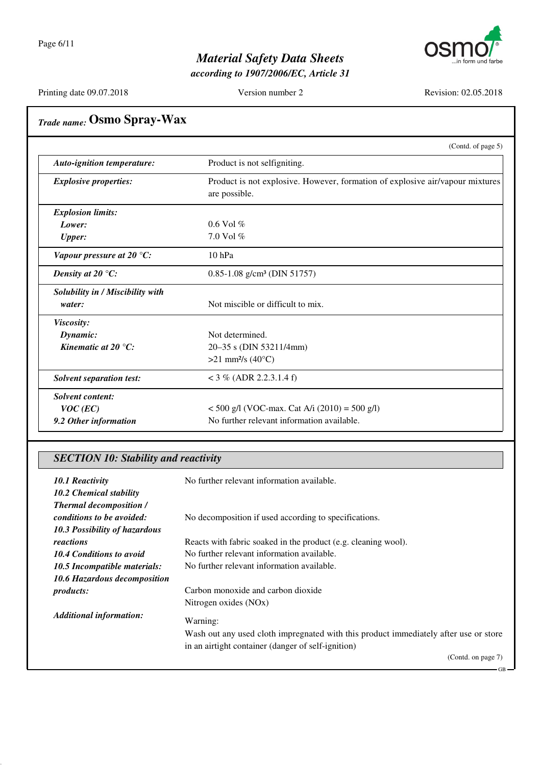

*according to 1907/2006/EC, Article 31*

Printing date 09.07.2018 Version number 2 Revision: 02.05.2018

GB

# *Trade name:* **Osmo Spray-Wax**

|                                   | (Contd. of page 5)                                                                             |  |
|-----------------------------------|------------------------------------------------------------------------------------------------|--|
| <b>Auto-ignition temperature:</b> | Product is not selfigniting.                                                                   |  |
| <b>Explosive properties:</b>      | Product is not explosive. However, formation of explosive air/vapour mixtures<br>are possible. |  |
| <b>Explosion limits:</b>          |                                                                                                |  |
| Lower:                            | $0.6$ Vol $%$                                                                                  |  |
| <b>Upper:</b>                     | 7.0 Vol $%$                                                                                    |  |
| Vapour pressure at 20 $°C$ :      | $10$ hPa                                                                                       |  |
| Density at 20 $\mathrm{C}$ :      | $0.85 - 1.08$ g/cm <sup>3</sup> (DIN 51757)                                                    |  |
| Solubility in / Miscibility with  |                                                                                                |  |
| water:                            | Not miscible or difficult to mix.                                                              |  |
| Viscosity:                        |                                                                                                |  |
| Dynamic:                          | Not determined.                                                                                |  |
| Kinematic at 20 $^{\circ}C$ :     | 20–35 s (DIN 53211/4mm)                                                                        |  |
|                                   | $>21$ mm <sup>2</sup> /s (40°C)                                                                |  |
| <b>Solvent separation test:</b>   | $<$ 3 % (ADR 2.2.3.1.4 f)                                                                      |  |
| Solvent content:                  |                                                                                                |  |
| $VOC$ (EC)                        | $<$ 500 g/l (VOC-max. Cat A/i (2010) = 500 g/l)                                                |  |
| 9.2 Other information             | No further relevant information available.                                                     |  |

#### *SECTION 10: Stability and reactivity*

| <b>10.1 Reactivity</b><br>10.2 Chemical stability | No further relevant information available.                                           |
|---------------------------------------------------|--------------------------------------------------------------------------------------|
| <b>Thermal decomposition /</b>                    |                                                                                      |
| <i>conditions to be avoided:</i>                  | No decomposition if used according to specifications.                                |
| 10.3 Possibility of hazardous                     |                                                                                      |
| reactions                                         | Reacts with fabric soaked in the product (e.g. cleaning wool).                       |
| 10.4 Conditions to avoid                          | No further relevant information available.                                           |
| 10.5 Incompatible materials:                      | No further relevant information available.                                           |
| 10.6 Hazardous decomposition                      |                                                                                      |
| <i>products:</i>                                  | Carbon monoxide and carbon dioxide                                                   |
|                                                   | Nitrogen oxides (NOx)                                                                |
| <b>Additional information:</b>                    | Warning:                                                                             |
|                                                   | Wash out any used cloth impregnated with this product immediately after use or store |
|                                                   | in an airtight container (danger of self-ignition)                                   |
|                                                   | (Contd. on page 7)                                                                   |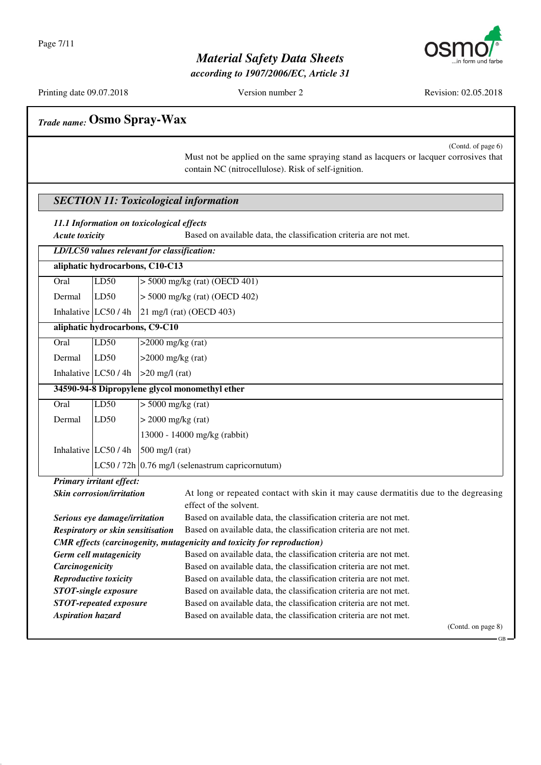

*according to 1907/2006/EC, Article 31*

Printing date 09.07.2018 Version number 2 Revision: 02.05.2018

GB

# *Trade name:* **Osmo Spray-Wax**

(Contd. of page 6) Must not be applied on the same spraying stand as lacquers or lacquer corrosives that contain NC (nitrocellulose). Risk of self-ignition.

#### *SECTION 11: Toxicological information*

|  | 11.1 Information on toxicological effects |  |  |  |  |
|--|-------------------------------------------|--|--|--|--|
|--|-------------------------------------------|--|--|--|--|

*Acute toxicity* Based on available data, the classification criteria are not met.

|                                                                                | LD/LC50 values relevant for classification:    |                                                  |                                                                                     |  |  |  |
|--------------------------------------------------------------------------------|------------------------------------------------|--------------------------------------------------|-------------------------------------------------------------------------------------|--|--|--|
| aliphatic hydrocarbons, C10-C13                                                |                                                |                                                  |                                                                                     |  |  |  |
| Oral                                                                           | LD50                                           | $>$ 5000 mg/kg (rat) (OECD 401)                  |                                                                                     |  |  |  |
| Dermal                                                                         | LD50                                           | $> 5000$ mg/kg (rat) (OECD 402)                  |                                                                                     |  |  |  |
|                                                                                | Inhalative LC50 / 4h                           | $21 \text{ mg/l}$ (rat) (OECD 403)               |                                                                                     |  |  |  |
|                                                                                | aliphatic hydrocarbons, C9-C10                 |                                                  |                                                                                     |  |  |  |
| Oral                                                                           | LD50                                           | $>2000$ mg/kg (rat)                              |                                                                                     |  |  |  |
| Dermal                                                                         | LD50                                           |                                                  | $>2000$ mg/kg (rat)                                                                 |  |  |  |
|                                                                                | Inhalative $LC50/4h$                           |                                                  | $>20$ mg/l (rat)                                                                    |  |  |  |
|                                                                                | 34590-94-8 Dipropylene glycol monomethyl ether |                                                  |                                                                                     |  |  |  |
| O <sub>ral</sub>                                                               | LD50                                           | $> 5000$ mg/kg (rat)                             |                                                                                     |  |  |  |
| Dermal                                                                         | LD50                                           | $>$ 2000 mg/kg (rat)                             |                                                                                     |  |  |  |
|                                                                                |                                                |                                                  | 13000 - 14000 mg/kg (rabbit)                                                        |  |  |  |
|                                                                                | Inhalative LC50 / 4h                           | $500$ mg/l (rat)                                 |                                                                                     |  |  |  |
|                                                                                |                                                | $LC50/72h$ 0.76 mg/l (selenastrum capricornutum) |                                                                                     |  |  |  |
|                                                                                | <b>Primary irritant effect:</b>                |                                                  |                                                                                     |  |  |  |
|                                                                                | <b>Skin corrosion/irritation</b>               |                                                  | At long or repeated contact with skin it may cause dermatitis due to the degreasing |  |  |  |
|                                                                                |                                                |                                                  | effect of the solvent.                                                              |  |  |  |
|                                                                                | Serious eye damage/irritation                  |                                                  | Based on available data, the classification criteria are not met.                   |  |  |  |
|                                                                                | <b>Respiratory or skin sensitisation</b>       |                                                  | Based on available data, the classification criteria are not met.                   |  |  |  |
| <b>CMR</b> effects (carcinogenity, mutagenicity and toxicity for reproduction) |                                                |                                                  |                                                                                     |  |  |  |
| Germ cell mutagenicity                                                         |                                                |                                                  | Based on available data, the classification criteria are not met.                   |  |  |  |
| Carcinogenicity                                                                |                                                |                                                  | Based on available data, the classification criteria are not met.                   |  |  |  |
|                                                                                | Reproductive toxicity                          |                                                  | Based on available data, the classification criteria are not met.                   |  |  |  |
| <b>STOT-single exposure</b>                                                    |                                                |                                                  | Based on available data, the classification criteria are not met.                   |  |  |  |
| <b>STOT-repeated exposure</b>                                                  |                                                |                                                  | Based on available data, the classification criteria are not met.                   |  |  |  |
| <b>Aspiration hazard</b>                                                       |                                                |                                                  | Based on available data, the classification criteria are not met.                   |  |  |  |
|                                                                                |                                                |                                                  | (Contd. on page 8)                                                                  |  |  |  |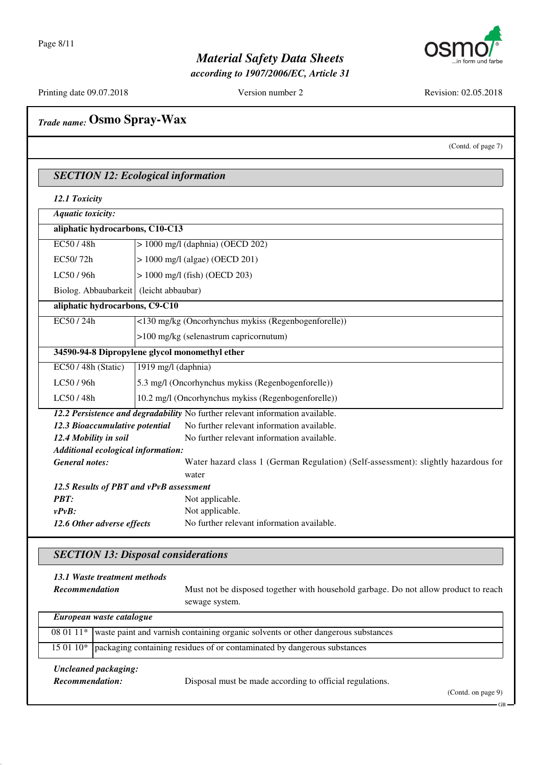

*according to 1907/2006/EC, Article 31*

Printing date 09.07.2018 Version number 2 Revision: 02.05.2018

| <b>Trade name: Osmo Spray-Wax</b>                                     |                                                     |                                                                                    |  |  |
|-----------------------------------------------------------------------|-----------------------------------------------------|------------------------------------------------------------------------------------|--|--|
|                                                                       |                                                     | (Contd. of page 7)                                                                 |  |  |
| <b>SECTION 12: Ecological information</b>                             |                                                     |                                                                                    |  |  |
| 12.1 Toxicity                                                         |                                                     |                                                                                    |  |  |
| <b>Aquatic toxicity:</b>                                              |                                                     |                                                                                    |  |  |
| aliphatic hydrocarbons, C10-C13                                       |                                                     |                                                                                    |  |  |
| EC50/48h                                                              |                                                     | $> 1000$ mg/l (daphnia) (OECD 202)                                                 |  |  |
| EC50/72h                                                              |                                                     | $> 1000$ mg/l (algae) (OECD 201)                                                   |  |  |
| LC50/96h                                                              |                                                     | $> 1000$ mg/l (fish) (OECD 203)                                                    |  |  |
| Biolog. Abbaubarkeit   (leicht abbaubar)                              |                                                     |                                                                                    |  |  |
| aliphatic hydrocarbons, C9-C10                                        |                                                     |                                                                                    |  |  |
| EC50/24h                                                              |                                                     | <130 mg/kg (Oncorhynchus mykiss (Regenbogenforelle))                               |  |  |
|                                                                       |                                                     | >100 mg/kg (selenastrum capricornutum)                                             |  |  |
|                                                                       |                                                     |                                                                                    |  |  |
| 34590-94-8 Dipropylene glycol monomethyl ether<br>1919 mg/l (daphnia) |                                                     |                                                                                    |  |  |
| EC50 / 48h (Static)                                                   |                                                     |                                                                                    |  |  |
| LC50 / 96h                                                            |                                                     | 5.3 mg/l (Oncorhynchus mykiss (Regenbogenforelle))                                 |  |  |
| LC50/48h                                                              | 10.2 mg/l (Oncorhynchus mykiss (Regenbogenforelle)) |                                                                                    |  |  |
|                                                                       |                                                     | 12.2 Persistence and degradability No further relevant information available.      |  |  |
| 12.3 Bioaccumulative potential                                        |                                                     | No further relevant information available.                                         |  |  |
| 12.4 Mobility in soil                                                 |                                                     | No further relevant information available.                                         |  |  |
| Additional ecological information:                                    |                                                     |                                                                                    |  |  |
| <b>General notes:</b>                                                 |                                                     | Water hazard class 1 (German Regulation) (Self-assessment): slightly hazardous for |  |  |
|                                                                       |                                                     | water                                                                              |  |  |
| 12.5 Results of PBT and vPvB assessment                               |                                                     |                                                                                    |  |  |
| <b>PBT:</b><br>$v P v B$ :                                            |                                                     | Not applicable.                                                                    |  |  |
| 12.6 Other adverse effects                                            |                                                     | Not applicable.<br>No further relevant information available.                      |  |  |
|                                                                       |                                                     |                                                                                    |  |  |
|                                                                       |                                                     |                                                                                    |  |  |
| <b>SECTION 13: Disposal considerations</b>                            |                                                     |                                                                                    |  |  |

#### *13.1 Waste treatment methods*

 $\Box$ 

*Recommendation* Must not be disposed together with household garbage. Do not allow product to reach sewage system.

| European waste catalogue |                                                                                                         |  |  |  |
|--------------------------|---------------------------------------------------------------------------------------------------------|--|--|--|
|                          | 08 01 11 <sup>*</sup> waste paint and varnish containing organic solvents or other dangerous substances |  |  |  |
|                          | 15 01 10*   packaging containing residues of or contaminated by dangerous substances                    |  |  |  |

#### *Uncleaned packaging:*

*Recommendation:* Disposal must be made according to official regulations.

(Contd. on page 9)

GB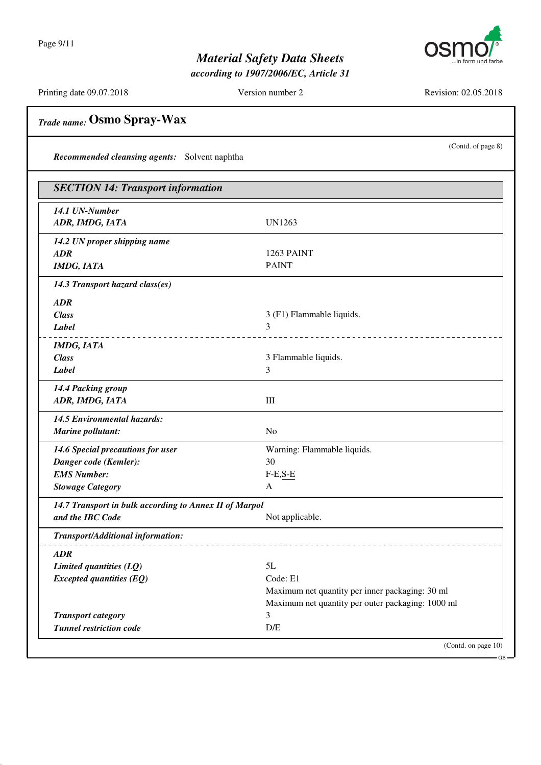Page 9/11



### *Material Safety Data Sheets*

*according to 1907/2006/EC, Article 31*

Printing date 09.07.2018 Version number 2 Revision: 02.05.2018

(Contd. of page 8)

 $\overline{CD}$ 

# *Trade name:* **Osmo Spray-Wax**

*Recommended cleansing agents:* Solvent naphtha

| 14.1 UN-Number<br>ADR, IMDG, IATA<br><b>UN1263</b><br>14.2 UN proper shipping name<br>ADR<br><b>PAINT</b><br><b>IMDG, IATA</b><br>14.3 Transport hazard class(es)<br><b>ADR</b><br><b>Class</b><br>Label<br>3<br><b>IMDG, IATA</b><br><b>Class</b><br>Label<br>3<br>14.4 Packing group<br>ADR, IMDG, IATA<br>Ш<br>14.5 Environmental hazards:<br>Marine pollutant:<br>N <sub>o</sub><br>14.6 Special precautions for user<br>30<br>Danger code (Kemler):<br><b>EMS Number:</b><br>$F-E,S-E$<br><b>Stowage Category</b><br>A<br>14.7 Transport in bulk according to Annex II of Marpol<br>and the IBC Code<br>Transport/Additional information: | 1263 PAINT<br>3 (F1) Flammable liquids.<br><u>.</u><br>3 Flammable liquids. |
|------------------------------------------------------------------------------------------------------------------------------------------------------------------------------------------------------------------------------------------------------------------------------------------------------------------------------------------------------------------------------------------------------------------------------------------------------------------------------------------------------------------------------------------------------------------------------------------------------------------------------------------------|-----------------------------------------------------------------------------|
|                                                                                                                                                                                                                                                                                                                                                                                                                                                                                                                                                                                                                                                |                                                                             |
|                                                                                                                                                                                                                                                                                                                                                                                                                                                                                                                                                                                                                                                |                                                                             |
|                                                                                                                                                                                                                                                                                                                                                                                                                                                                                                                                                                                                                                                |                                                                             |
|                                                                                                                                                                                                                                                                                                                                                                                                                                                                                                                                                                                                                                                |                                                                             |
|                                                                                                                                                                                                                                                                                                                                                                                                                                                                                                                                                                                                                                                |                                                                             |
|                                                                                                                                                                                                                                                                                                                                                                                                                                                                                                                                                                                                                                                |                                                                             |
|                                                                                                                                                                                                                                                                                                                                                                                                                                                                                                                                                                                                                                                |                                                                             |
|                                                                                                                                                                                                                                                                                                                                                                                                                                                                                                                                                                                                                                                |                                                                             |
|                                                                                                                                                                                                                                                                                                                                                                                                                                                                                                                                                                                                                                                |                                                                             |
|                                                                                                                                                                                                                                                                                                                                                                                                                                                                                                                                                                                                                                                |                                                                             |
|                                                                                                                                                                                                                                                                                                                                                                                                                                                                                                                                                                                                                                                |                                                                             |
|                                                                                                                                                                                                                                                                                                                                                                                                                                                                                                                                                                                                                                                |                                                                             |
|                                                                                                                                                                                                                                                                                                                                                                                                                                                                                                                                                                                                                                                |                                                                             |
|                                                                                                                                                                                                                                                                                                                                                                                                                                                                                                                                                                                                                                                |                                                                             |
|                                                                                                                                                                                                                                                                                                                                                                                                                                                                                                                                                                                                                                                |                                                                             |
|                                                                                                                                                                                                                                                                                                                                                                                                                                                                                                                                                                                                                                                | Warning: Flammable liquids.                                                 |
|                                                                                                                                                                                                                                                                                                                                                                                                                                                                                                                                                                                                                                                |                                                                             |
|                                                                                                                                                                                                                                                                                                                                                                                                                                                                                                                                                                                                                                                |                                                                             |
|                                                                                                                                                                                                                                                                                                                                                                                                                                                                                                                                                                                                                                                |                                                                             |
|                                                                                                                                                                                                                                                                                                                                                                                                                                                                                                                                                                                                                                                |                                                                             |
|                                                                                                                                                                                                                                                                                                                                                                                                                                                                                                                                                                                                                                                | Not applicable.                                                             |
|                                                                                                                                                                                                                                                                                                                                                                                                                                                                                                                                                                                                                                                |                                                                             |
| ADR                                                                                                                                                                                                                                                                                                                                                                                                                                                                                                                                                                                                                                            |                                                                             |
| 5L<br>Limited quantities (LQ)                                                                                                                                                                                                                                                                                                                                                                                                                                                                                                                                                                                                                  |                                                                             |
| Code: E1<br><b>Excepted quantities (EQ)</b>                                                                                                                                                                                                                                                                                                                                                                                                                                                                                                                                                                                                    |                                                                             |
|                                                                                                                                                                                                                                                                                                                                                                                                                                                                                                                                                                                                                                                | Maximum net quantity per inner packaging: 30 ml                             |
|                                                                                                                                                                                                                                                                                                                                                                                                                                                                                                                                                                                                                                                | Maximum net quantity per outer packaging: 1000 ml                           |
| <b>Transport category</b><br>3<br><b>Tunnel restriction code</b><br>D/E                                                                                                                                                                                                                                                                                                                                                                                                                                                                                                                                                                        |                                                                             |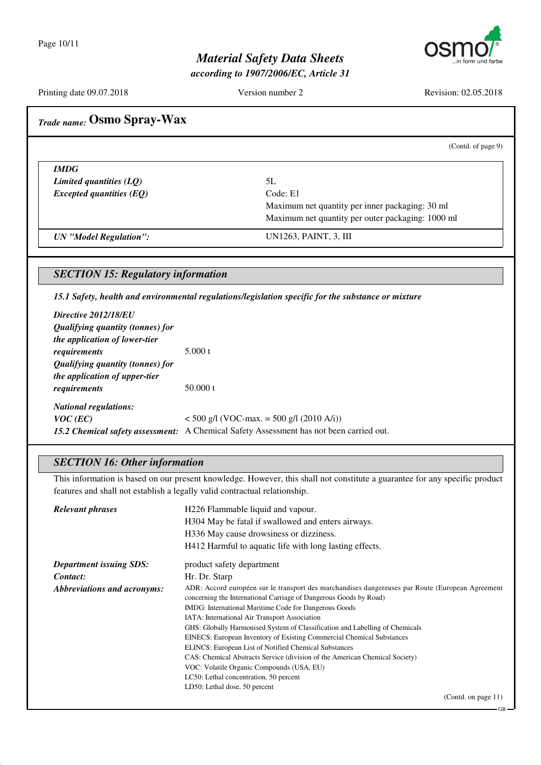

*according to 1907/2006/EC, Article 31*

Printing date 09.07.2018 Version number 2 Revision: 02.05.2018

(Contd. of page 9)

GB

## *Trade name:* **Osmo Spray-Wax**

*IMDG Limited quantities (LQ)* 5L *Excepted quantities (EQ)* Code: E1

Maximum net quantity per inner packaging: 30 ml Maximum net quantity per outer packaging: 1000 ml

*UN "Model Regulation":* UN1263, PAINT, 3, III

#### *SECTION 15: Regulatory information*

*15.1 Safety, health and environmental regulations/legislation specific for the substance or mixture*

| Directive 2012/18/EU                           |                                                                                                |
|------------------------------------------------|------------------------------------------------------------------------------------------------|
| Qualifying quantity (tonnes) for               |                                                                                                |
| <i>the application of lower-tier</i>           |                                                                                                |
| requirements                                   | 5.000 t                                                                                        |
| <i><b>Qualifying quantity (tonnes) for</b></i> |                                                                                                |
| <i>the application of upper-tier</i>           |                                                                                                |
| requirements                                   | 50.000 t                                                                                       |
| <b>National regulations:</b>                   |                                                                                                |
| $VOC$ (EC)                                     | $<$ 500 g/l (VOC-max. = 500 g/l (2010 A/i))                                                    |
|                                                | <b>15.2 Chemical safety assessment:</b> A Chemical Safety Assessment has not been carried out. |

#### *SECTION 16: Other information*

This information is based on our present knowledge. However, this shall not constitute a guarantee for any specific product features and shall not establish a legally valid contractual relationship.

| <b>Relevant phrases</b>        | H226 Flammable liquid and vapour.<br>H304 May be fatal if swallowed and enters airways.<br>H336 May cause drowsiness or dizziness.<br>H412 Harmful to aquatic life with long lasting effects.                                   |
|--------------------------------|---------------------------------------------------------------------------------------------------------------------------------------------------------------------------------------------------------------------------------|
|                                |                                                                                                                                                                                                                                 |
| <b>Department issuing SDS:</b> | product safety department                                                                                                                                                                                                       |
| Contact:                       | Hr. Dr. Starp                                                                                                                                                                                                                   |
| Abbreviations and acronyms:    | ADR: Accord européen sur le transport des marchandises dangereuses par Route (European Agreement)<br>concerning the International Carriage of Dangerous Goods by Road)<br>IMDG: International Maritime Code for Dangerous Goods |
|                                | IATA: International Air Transport Association<br>GHS: Globally Harmonised System of Classification and Labelling of Chemicals                                                                                                   |
|                                | EINECS: European Inventory of Existing Commercial Chemical Substances                                                                                                                                                           |
|                                | <b>ELINCS: European List of Notified Chemical Substances</b>                                                                                                                                                                    |
|                                | CAS: Chemical Abstracts Service (division of the American Chemical Society)                                                                                                                                                     |
|                                | VOC: Volatile Organic Compounds (USA, EU)                                                                                                                                                                                       |
|                                | LC50: Lethal concentration, 50 percent                                                                                                                                                                                          |
|                                | LD50: Lethal dose, 50 percent                                                                                                                                                                                                   |
|                                | (Contd. on page $11$ )                                                                                                                                                                                                          |